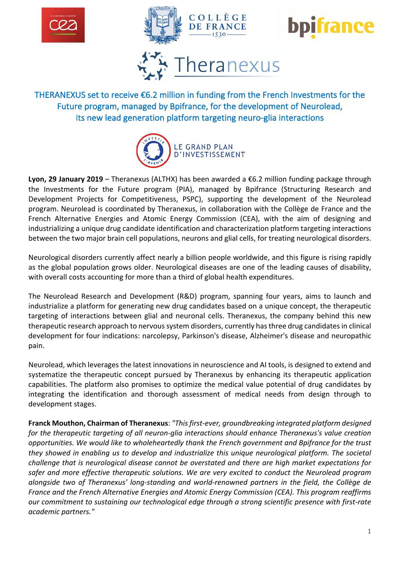







THERANEXUS set to receive €6.2 million in funding from the French Investments for the Future program, managed by Bpifrance, for the development of Neurolead, its new lead generation platform targeting neuro-glia interactions



**Lyon, 29 January 2019** – Theranexus (ALTHX) has been awarded a €6.2 million funding package through the Investments for the Future program (PIA), managed by Bpifrance (Structuring Research and Development Projects for Competitiveness, PSPC), supporting the development of the Neurolead program. Neurolead is coordinated by Theranexus, in collaboration with the Collège de France and the French Alternative Energies and Atomic Energy Commission (CEA), with the aim of designing and industrializing a unique drug candidate identification and characterization platform targeting interactions between the two major brain cell populations, neurons and glial cells, for treating neurological disorders.

Neurological disorders currently affect nearly a billion people worldwide, and this figure is rising rapidly as the global population grows older. Neurological diseases are one of the leading causes of disability, with overall costs accounting for more than a third of global health expenditures.

The Neurolead Research and Development (R&D) program, spanning four years, aims to launch and industrialize a platform for generating new drug candidates based on a unique concept, the therapeutic targeting of interactions between glial and neuronal cells. Theranexus, the company behind this new therapeutic research approach to nervous system disorders, currently has three drug candidates in clinical development for four indications: narcolepsy, Parkinson's disease, Alzheimer's disease and neuropathic pain.

Neurolead, which leverages the latest innovations in neuroscience and AI tools, is designed to extend and systematize the therapeutic concept pursued by Theranexus by enhancing its therapeutic application capabilities. The platform also promises to optimize the medical value potential of drug candidates by integrating the identification and thorough assessment of medical needs from design through to development stages.

**Franck Mouthon, Chairman of Theranexus**: *"This first-ever, groundbreaking integrated platform designed for the therapeutic targeting of all neuron-glia interactions should enhance Theranexus's value creation opportunities. We would like to wholeheartedly thank the French government and Bpifrance for the trust they showed in enabling us to develop and industrialize this unique neurological platform. The societal challenge that is neurological disease cannot be overstated and there are high market expectations for safer and more effective therapeutic solutions. We are very excited to conduct the Neurolead program alongside two of Theranexus' long-standing and world-renowned partners in the field, the Collège de France and the French Alternative Energies and Atomic Energy Commission (CEA). This program reaffirms our commitment to sustaining our technological edge through a strong scientific presence with first-rate academic partners."*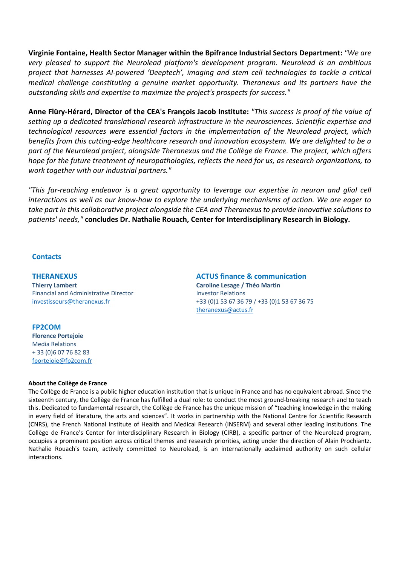**Virginie Fontaine, Health Sector Manager within the Bpifrance Industrial Sectors Department:** *"We are very pleased to support the Neurolead platform's development program. Neurolead is an ambitious project that harnesses AI-powered 'Deeptech', imaging and stem cell technologies to tackle a critical medical challenge constituting a genuine market opportunity. Theranexus and its partners have the outstanding skills and expertise to maximize the project's prospects for success."*

**Anne Flüry-Hérard, Director of the CEA's François Jacob Institute:** *"This success is proof of the value of setting up a dedicated translational research infrastructure in the neurosciences. Scientific expertise and technological resources were essential factors in the implementation of the Neurolead project, which benefits from this cutting-edge healthcare research and innovation ecosystem. We are delighted to be a part of the Neurolead project, alongside Theranexus and the Collège de France. The project, which offers hope for the future treatment of neuropathologies, reflects the need for us, as research organizations, to work together with our industrial partners."*

*"This far-reaching endeavor is a great opportunity to leverage our expertise in neuron and glial cell interactions as well as our know-how to explore the underlying mechanisms of action. We are eager to take part in this collaborative project alongside the CEA and Theranexus to provide innovative solutions to patients' needs,"* **concludes Dr. Nathalie Rouach, Center for Interdisciplinary Research in Biology.**

## **Contacts**

**THERANEXUS Thierry Lambert** Financial and Administrative Director investisseurs@theranexus.fr

# **FP2COM**

**Florence Portejoie** Media Relations + 33 (0)6 07 76 82 83 fportejoie@fp2com.fr **ACTUS finance & communication Caroline Lesage / Théo Martin** Investor Relations +33 (0)1 53 67 36 79 / +33 (0)1 53 67 36 75 theranexus@actus.fr

## **About the Collège de France**

The Collège de France is a public higher education institution that is unique in France and has no equivalent abroad. Since the sixteenth century, the Collège de France has fulfilled a dual role: to conduct the most ground-breaking research and to teach this. Dedicated to fundamental research, the Collège de France has the unique mission of "teaching knowledge in the making in every field of literature, the arts and sciences". It works in partnership with the National Centre for Scientific Research (CNRS), the French National Institute of Health and Medical Research (INSERM) and several other leading institutions. The Collège de France's Center for Interdisciplinary Research in Biology (CIRB), a specific partner of the Neurolead program, occupies a prominent position across critical themes and research priorities, acting under the direction of Alain Prochiantz. Nathalie Rouach's team, actively committed to Neurolead, is an internationally acclaimed authority on such cellular interactions.